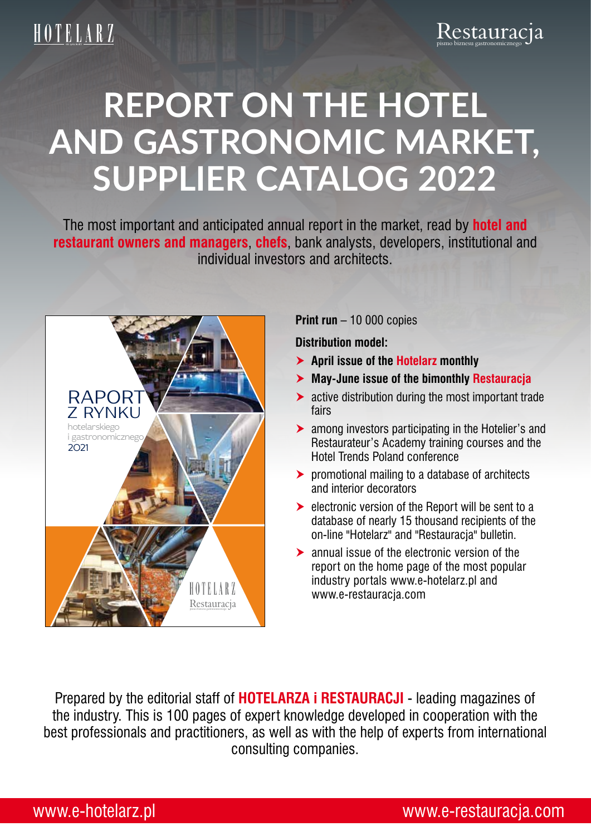# **Report on the hotel and gastronomic market, supplier catalog 2022**

The most important and anticipated annual report in the market, read by **hotel and restaurant owners and managers**, **chefs**, bank analysts, developers, institutional and individual investors and architects.



**Print run** – 10 000 copies

**Distribution model:**

- **April issue of the Hotelarz monthly**
- **May-June issue of the bimonthly Restauracja**
- **Exercise 2** active distribution during the most important trade fairs
- $\triangleright$  among investors participating in the Hotelier's and Restaurateur's Academy training courses and the Hotel Trends Poland conference
- **EX promotional mailing to a database of architects** and interior decorators
- **EXECUTE:** electronic version of the Report will be sent to a database of nearly 15 thousand recipients of the on-line "Hotelarz" and "Restauracja" bulletin.
- annual issue of the electronic version of the report on the home page of the most popular industry portals www.e-hotelarz.pl and www.e-restauracja.com

Prepared by the editorial staff of **HOTELARZA i RESTAURACJI** - leading magazines of the industry. This is 100 pages of expert knowledge developed in cooperation with the best professionals and practitioners, as well as with the help of experts from international consulting companies.